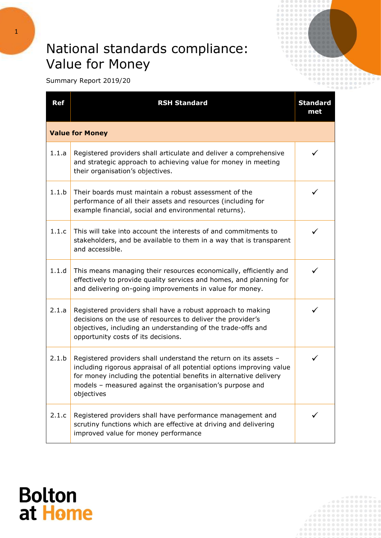## National standards compliance: Value for Money



Summary Report 2019/20

| <b>Ref</b>             | <b>RSH Standard</b>                                                                                                                                                                                                                                                                       | <b>Standard</b><br>met |  |
|------------------------|-------------------------------------------------------------------------------------------------------------------------------------------------------------------------------------------------------------------------------------------------------------------------------------------|------------------------|--|
| <b>Value for Money</b> |                                                                                                                                                                                                                                                                                           |                        |  |
| 1.1.a                  | Registered providers shall articulate and deliver a comprehensive<br>and strategic approach to achieving value for money in meeting<br>their organisation's objectives.                                                                                                                   | ✓                      |  |
| 1.1.b                  | Their boards must maintain a robust assessment of the<br>performance of all their assets and resources (including for<br>example financial, social and environmental returns).                                                                                                            | ✓                      |  |
| 1.1.c                  | This will take into account the interests of and commitments to<br>stakeholders, and be available to them in a way that is transparent<br>and accessible.                                                                                                                                 | ✓                      |  |
| 1.1.d                  | This means managing their resources economically, efficiently and<br>effectively to provide quality services and homes, and planning for<br>and delivering on-going improvements in value for money.                                                                                      | ✓                      |  |
| 2.1.a                  | Registered providers shall have a robust approach to making<br>decisions on the use of resources to deliver the provider's<br>objectives, including an understanding of the trade-offs and<br>opportunity costs of its decisions.                                                         | ✓                      |  |
| 2.1.b                  | Registered providers shall understand the return on its assets -<br>including rigorous appraisal of all potential options improving value<br>for money including the potential benefits in alternative delivery<br>models - measured against the organisation's purpose and<br>objectives |                        |  |
| 2.1.c                  | Registered providers shall have performance management and<br>scrutiny functions which are effective at driving and delivering<br>improved value for money performance                                                                                                                    |                        |  |

## **Bolton** at Home